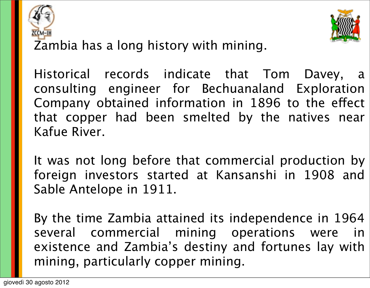



Zambia has a long history with mining.

Historical records indicate that Tom Davey, a consulting engineer for Bechuanaland Exploration Company obtained information in 1896 to the effect that copper had been smelted by the natives near Kafue River.

It was not long before that commercial production by foreign investors started at Kansanshi in 1908 and Sable Antelope in 1911.

By the time Zambia attained its independence in 1964 several commercial mining operations were in existence and Zambia's destiny and fortunes lay with mining, particularly copper mining.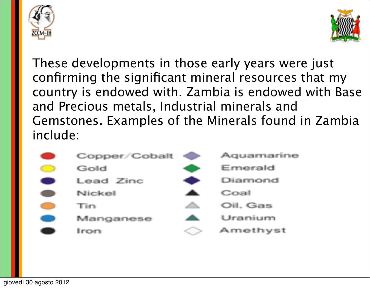



These developments in those early years were just confirming the significant mineral resources that my country is endowed with. Zambia is endowed with Base and Precious metals, Industrial minerals and Gemstones. Examples of the Minerals found in Zambia include:

| Copper/Cobalt | Aquamarine |
|---------------|------------|
| Gold          | Emerald    |
| Lead Zinc     | Diamond    |
| Nickel        | Coal       |
| Tin           | Oil, Gas   |
| Manganese     | Uranium    |
| Iron          | Amethyst   |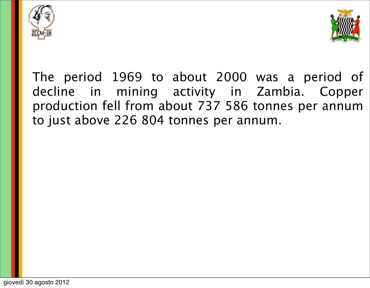



The period 1969 to about 2000 was a period of decline in mining activity in Zambia. Copper production fell from about 737 586 tonnes per annum to just above 226 804 tonnes per annum.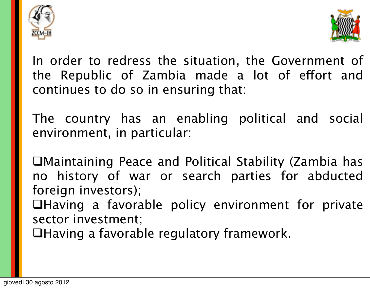



In order to redress the situation, the Government of the Republic of Zambia made a lot of effort and continues to do so in ensuring that:

The country has an enabling political and social environment, in particular:

Maintaining Peace and Political Stability (Zambia has no history of war or search parties for abducted foreign investors); **QHaving a favorable policy environment for private** 

sector investment; Having a favorable regulatory framework.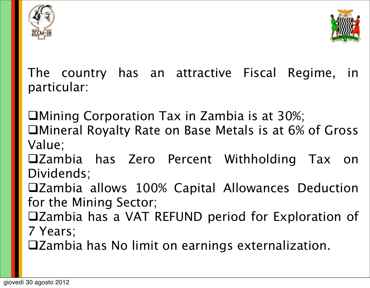



The country has an attractive Fiscal Regime, in particular:

Mining Corporation Tax in Zambia is at 30%;

Mineral Royalty Rate on Base Metals is at 6% of Gross Value;

Zambia has Zero Percent Withholding Tax on Dividends;

Zambia allows 100% Capital Allowances Deduction for the Mining Sector;

Zambia has a VAT REFUND period for Exploration of 7 Years;

Zambia has No limit on earnings externalization.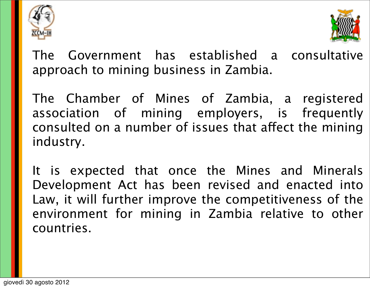



The Government has established a consultative approach to mining business in Zambia.

The Chamber of Mines of Zambia, a registered association of mining employers, is frequently consulted on a number of issues that affect the mining industry.

It is expected that once the Mines and Minerals Development Act has been revised and enacted into Law, it will further improve the competitiveness of the environment for mining in Zambia relative to other countries.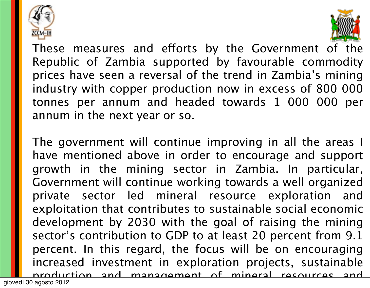



These measures and efforts by the Government of the Republic of Zambia supported by favourable commodity prices have seen a reversal of the trend in Zambia's mining industry with copper production now in excess of 800 000 tonnes per annum and headed towards 1 000 000 per annum in the next year or so.

The government will continue improving in all the areas I have mentioned above in order to encourage and support growth in the mining sector in Zambia. In particular, Government will continue working towards a well organized private sector led mineral resource exploration and exploitation that contributes to sustainable social economic development by 2030 with the goal of raising the mining sector's contribution to GDP to at least 20 percent from 9.1 percent. In this regard, the focus will be on encouraging increased investment in exploration projects, sustainable production and management of mineral resources and giovedì 30 agosto 2012

 $i$ increase productivity so as to maximize experimental benefits experimental benefits  $i$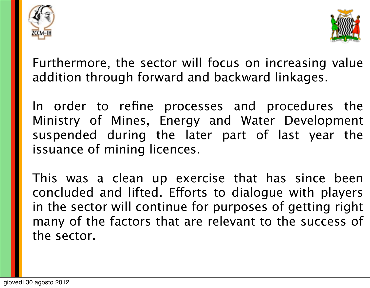



Furthermore, the sector will focus on increasing value addition through forward and backward linkages.

In order to refine processes and procedures the Ministry of Mines, Energy and Water Development suspended during the later part of last year the issuance of mining licences.

This was a clean up exercise that has since been concluded and lifted. Efforts to dialogue with players in the sector will continue for purposes of getting right many of the factors that are relevant to the success of the sector.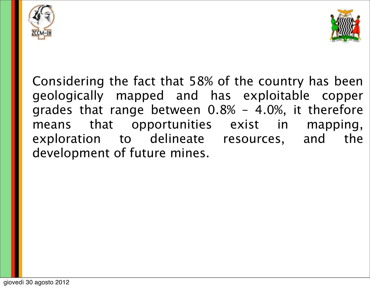



Considering the fact that 58% of the country has been geologically mapped and has exploitable copper grades that range between 0.8% – 4.0%, it therefore means that opportunities exist in mapping, exploration to delineate resources, and the development of future mines.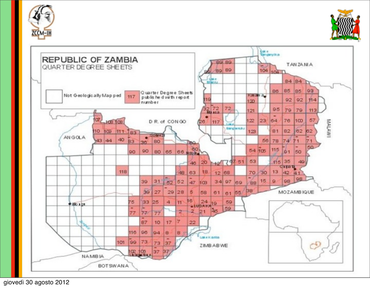





giovedì 30 agosto 2012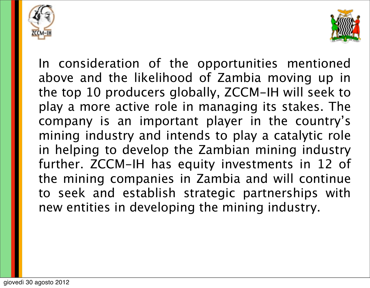



In consideration of the opportunities mentioned above and the likelihood of Zambia moving up in the top 10 producers globally, ZCCM-IH will seek to play a more active role in managing its stakes. The company is an important player in the country's mining industry and intends to play a catalytic role in helping to develop the Zambian mining industry further. ZCCM-IH has equity investments in 12 of the mining companies in Zambia and will continue to seek and establish strategic partnerships with new entities in developing the mining industry.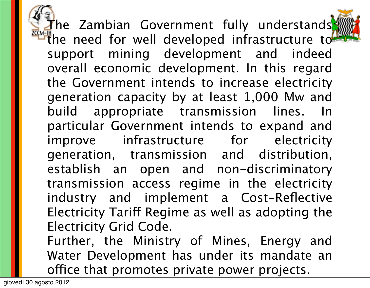The Zambian Government fully understands **THE need for well developed infrastructure to** support mining development and indeed overall economic development. In this regard the Government intends to increase electricity generation capacity by at least 1,000 Mw and build appropriate transmission lines. In particular Government intends to expand and improve infrastructure for electricity generation, transmission and distribution, establish an open and non-discriminatory transmission access regime in the electricity industry and implement a Cost-Reflective Electricity Tariff Regime as well as adopting the Electricity Grid Code.

Further, the Ministry of Mines, Energy and Water Development has under its mandate an office that promotes private power projects.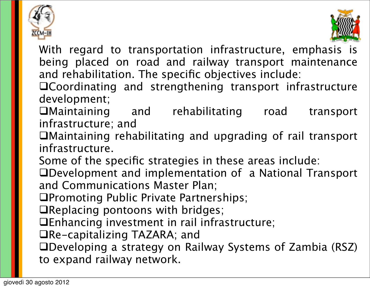



With regard to transportation infrastructure, emphasis is being placed on road and railway transport maintenance and rehabilitation. The specific objectives include:

- Coordinating and strengthening transport infrastructure development;
- Maintaining and rehabilitating road transport infrastructure; and
- Maintaining rehabilitating and upgrading of rail transport infrastructure.
- Some of the specific strategies in these areas include:
- Development and implementation of a National Transport and Communications Master Plan;
- Promoting Public Private Partnerships;
- Replacing pontoons with bridges;
- Enhancing investment in rail infrastructure;
- Re-capitalizing TAZARA; and
- Developing a strategy on Railway Systems of Zambia (RSZ) to expand railway network.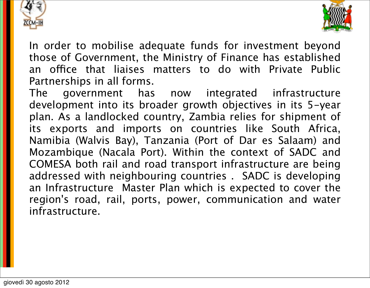



In order to mobilise adequate funds for investment beyond those of Government, the Ministry of Finance has established an office that liaises matters to do with Private Public Partnerships in all forms.

The government has now integrated infrastructure development into its broader growth objectives in its 5-year plan. As a landlocked country, Zambia relies for shipment of its exports and imports on countries like South Africa, Namibia (Walvis Bay), Tanzania (Port of Dar es Salaam) and Mozambique (Nacala Port). Within the context of SADC and COMESA both rail and road transport infrastructure are being addressed with neighbouring countries . SADC is developing an Infrastructure Master Plan which is expected to cover the region's road, rail, ports, power, communication and water infrastructure.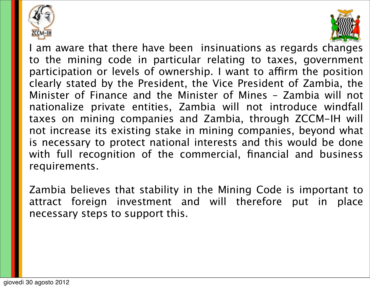



I am aware that there have been insinuations as regards changes to the mining code in particular relating to taxes, government participation or levels of ownership. I want to affirm the position clearly stated by the President, the Vice President of Zambia, the Minister of Finance and the Minister of Mines – Zambia will not nationalize private entities, Zambia will not introduce windfall taxes on mining companies and Zambia, through ZCCM-IH will not increase its existing stake in mining companies, beyond what is necessary to protect national interests and this would be done with full recognition of the commercial, financial and business requirements.

Zambia believes that stability in the Mining Code is important to attract foreign investment and will therefore put in place necessary steps to support this.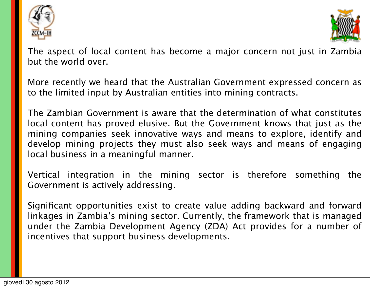



The aspect of local content has become a major concern not just in Zambia but the world over.

More recently we heard that the Australian Government expressed concern as to the limited input by Australian entities into mining contracts.

The Zambian Government is aware that the determination of what constitutes local content has proved elusive. But the Government knows that just as the mining companies seek innovative ways and means to explore, identify and develop mining projects they must also seek ways and means of engaging local business in a meaningful manner.

Vertical integration in the mining sector is therefore something the Government is actively addressing.

Significant opportunities exist to create value adding backward and forward linkages in Zambia's mining sector. Currently, the framework that is managed under the Zambia Development Agency (ZDA) Act provides for a number of incentives that support business developments.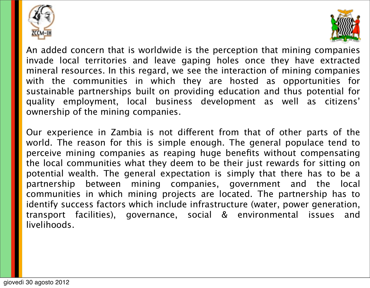



An added concern that is worldwide is the perception that mining companies invade local territories and leave gaping holes once they have extracted mineral resources. In this regard, we see the interaction of mining companies with the communities in which they are hosted as opportunities for sustainable partnerships built on providing education and thus potential for quality employment, local business development as well as citizens' ownership of the mining companies.

Our experience in Zambia is not different from that of other parts of the world. The reason for this is simple enough. The general populace tend to perceive mining companies as reaping huge benefits without compensating the local communities what they deem to be their just rewards for sitting on potential wealth. The general expectation is simply that there has to be a partnership between mining companies, government and the local communities in which mining projects are located. The partnership has to identify success factors which include infrastructure (water, power generation, transport facilities), governance, social & environmental issues and livelihoods.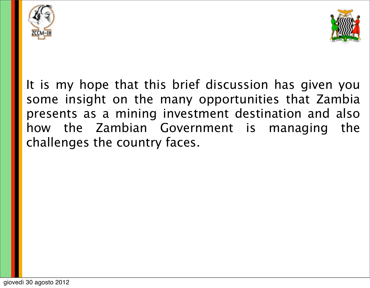



It is my hope that this brief discussion has given you some insight on the many opportunities that Zambia presents as a mining investment destination and also how the Zambian Government is managing the challenges the country faces.